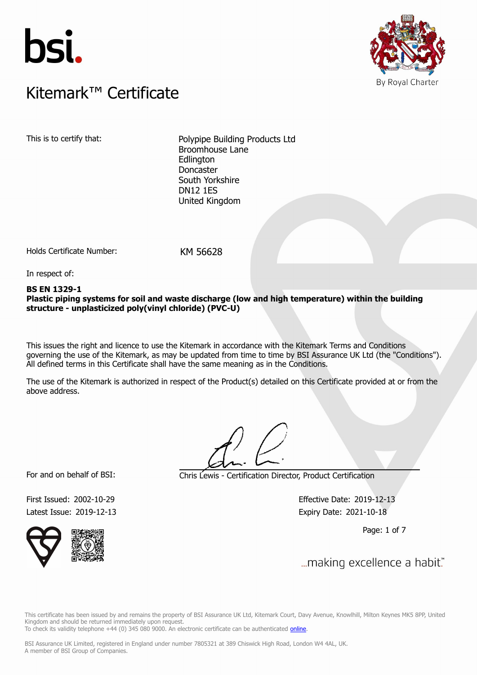



### $K$ itemark $W$  Certificate Kitemark™ Certificate

This is to certify that: Polypipe Building Products Ltd Broomhouse Lane Edlington Doncaster South Yorkshire DN12 1ES United Kingdom

Holds Certificate Number: KM 56628

In respect of:

#### **BS EN 1329-1 Plastic piping systems for soil and waste discharge (low and high temperature) within the building structure - unplasticized poly(vinyl chloride) (PVC-U)**

This issues the right and licence to use the Kitemark in accordance with the Kitemark Terms and Conditions governing the use of the Kitemark, as may be updated from time to time by BSI Assurance UK Ltd (the "Conditions"). All defined terms in this Certificate shall have the same meaning as in the Conditions.

The use of the Kitemark is authorized in respect of the Product(s) detailed on this Certificate provided at or from the above address.

For and on behalf of BSI: Chris Lewis - Certification Director, Product Certification

First Issued: 2002-10-29 Effective Date: 2019-12-13 Latest Issue: 2019-12-13 Expiry Date: 2021-10-18

Page: 1 of 7

... making excellence a habit."

This certificate has been issued by and remains the property of BSI Assurance UK Ltd, Kitemark Court, Davy Avenue, Knowlhill, Milton Keynes MK5 8PP, United Kingdom and should be returned immediately upon request. To check its validity telephone +44 (0) 345 080 9000. An electronic certificate can be authenticated *[online](https://pgplus.bsigroup.com/CertificateValidation/CertificateValidator.aspx?CertificateNumber=KM+56628&ReIssueDate=13%2f12%2f2019&Template=uk)*.

First Issued: 2002-10-29 Effective Date: 2019-12-13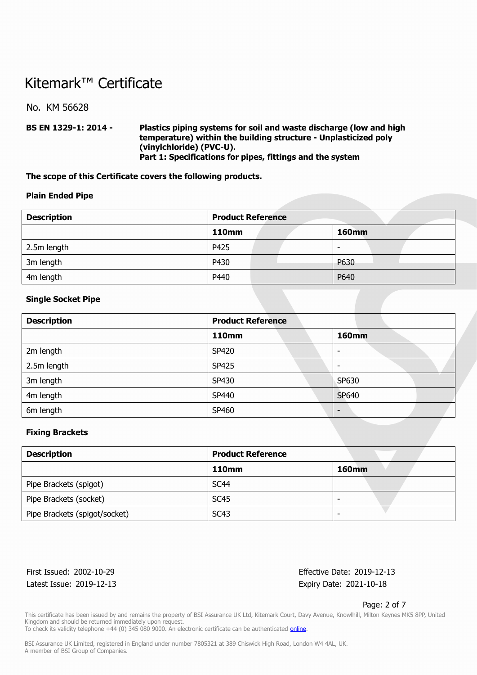No. KM 56628

**BS EN 1329-1: 2014 - Plastics piping systems for soil and waste discharge (low and high temperature) within the building structure - Unplasticized poly (vinylchloride) (PVC-U). Part 1: Specifications for pipes, fittings and the system**

**The scope of this Certificate covers the following products.**

#### **Plain Ended Pipe**

| <b>Description</b> | <b>Product Reference</b> |                          |
|--------------------|--------------------------|--------------------------|
|                    | <b>110mm</b>             | <b>160mm</b>             |
| 2.5m length        | P425                     | $\overline{\phantom{0}}$ |
| 3m length          | P430                     | P630                     |
| 4m length          | P440                     | P640                     |

### **Single Socket Pipe**

| <b>Description</b> | <b>Product Reference</b> |                          |
|--------------------|--------------------------|--------------------------|
|                    | <b>110mm</b>             | <b>160mm</b>             |
| 2m length          | SP420                    | $\overline{\phantom{a}}$ |
| 2.5m length        | SP425                    | -                        |
| 3m length          | SP430                    | SP630                    |
| 4m length          | SP440                    | SP640                    |
| 6m length          | SP460                    | $\overline{\phantom{a}}$ |

### **Fixing Brackets**

| <b>Description</b>            | <b>Product Reference</b> |              |
|-------------------------------|--------------------------|--------------|
|                               | <b>110mm</b>             | <b>160mm</b> |
| Pipe Brackets (spigot)        | SC <sub>44</sub>         |              |
| Pipe Brackets (socket)        | SC <sub>45</sub>         | -            |
| Pipe Brackets (spigot/socket) | <b>SC43</b>              | -            |

Latest Issue: 2019-12-13 Expiry Date: 2021-10-18

First Issued: 2002-10-29 Effective Date: 2019-12-13

#### Page: 2 of 7

This certificate has been issued by and remains the property of BSI Assurance UK Ltd, Kitemark Court, Davy Avenue, Knowlhill, Milton Keynes MK5 8PP, United Kingdom and should be returned immediately upon request.

To check its validity telephone +44 (0) 345 080 9000. An electronic certificate can be authenticated *[online](https://pgplus.bsigroup.com/CertificateValidation/CertificateValidator.aspx?CertificateNumber=KM+56628&ReIssueDate=13%2f12%2f2019&Template=uk)*.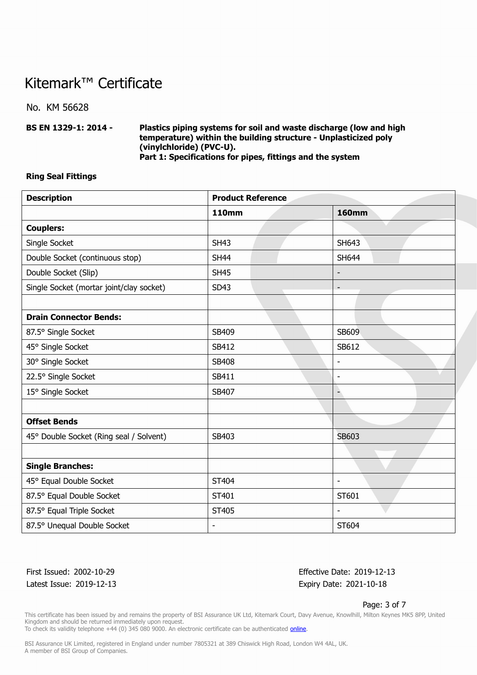No. KM 56628

**BS EN 1329-1: 2014 - Plastics piping systems for soil and waste discharge (low and high temperature) within the building structure - Unplasticized poly (vinylchloride) (PVC-U). Part 1: Specifications for pipes, fittings and the system**

### **Ring Seal Fittings**

| <b>Description</b>                       | <b>Product Reference</b> |                              |
|------------------------------------------|--------------------------|------------------------------|
|                                          | <b>110mm</b>             | <b>160mm</b>                 |
| <b>Couplers:</b>                         |                          |                              |
| Single Socket                            | <b>SH43</b>              | SH643                        |
| Double Socket (continuous stop)          | <b>SH44</b>              | <b>SH644</b>                 |
| Double Socket (Slip)                     | <b>SH45</b>              | $\overline{\phantom{m}}$     |
| Single Socket (mortar joint/clay socket) | SD43                     | $\overline{\phantom{m}}$     |
|                                          |                          |                              |
| <b>Drain Connector Bends:</b>            |                          |                              |
| 87.5° Single Socket                      | SB409                    | SB609                        |
| 45° Single Socket                        | SB412                    | SB612                        |
| 30° Single Socket                        | SB408                    | $\qquad \qquad \blacksquare$ |
| 22.5° Single Socket                      | SB411                    | $\overline{a}$               |
| 15° Single Socket                        | SB407                    |                              |
|                                          |                          |                              |
| <b>Offset Bends</b>                      |                          |                              |
| 45° Double Socket (Ring seal / Solvent)  | SB403                    | SB603                        |
|                                          |                          |                              |
| <b>Single Branches:</b>                  |                          |                              |
| 45° Equal Double Socket                  | ST404                    | $\overline{\phantom{a}}$     |
| 87.5° Equal Double Socket                | ST401                    | ST601                        |
| 87.5° Equal Triple Socket                | ST405                    | $\overline{a}$               |
| 87.5° Unequal Double Socket              | $\blacksquare$           | ST604                        |

Latest Issue: 2019-12-13 Expiry Date: 2021-10-18

First Issued: 2002-10-29 Effective Date: 2019-12-13

Page: 3 of 7

This certificate has been issued by and remains the property of BSI Assurance UK Ltd, Kitemark Court, Davy Avenue, Knowlhill, Milton Keynes MK5 8PP, United Kingdom and should be returned immediately upon request.

To check its validity telephone +44 (0) 345 080 9000. An electronic certificate can be authenticated *[online](https://pgplus.bsigroup.com/CertificateValidation/CertificateValidator.aspx?CertificateNumber=KM+56628&ReIssueDate=13%2f12%2f2019&Template=uk)*.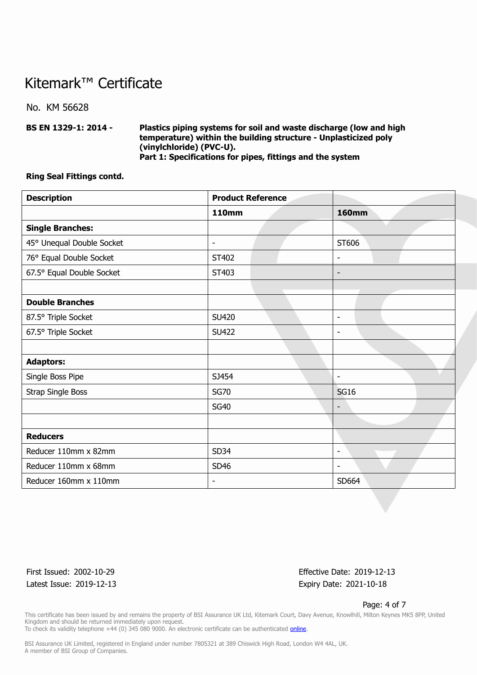No. KM 56628

**BS EN 1329-1: 2014 - Plastics piping systems for soil and waste discharge (low and high temperature) within the building structure - Unplasticized poly (vinylchloride) (PVC-U). Part 1: Specifications for pipes, fittings and the system**

### **Ring Seal Fittings contd.**

| <b>Description</b>        | <b>Product Reference</b> |                          |
|---------------------------|--------------------------|--------------------------|
|                           | <b>110mm</b>             | <b>160mm</b>             |
| <b>Single Branches:</b>   |                          |                          |
| 45° Unequal Double Socket | $\overline{\phantom{a}}$ | ST606                    |
| 76° Equal Double Socket   | ST402                    | $\overline{\phantom{a}}$ |
| 67.5° Equal Double Socket | ST403                    | $\overline{\phantom{a}}$ |
|                           |                          |                          |
| <b>Double Branches</b>    |                          |                          |
| 87.5° Triple Socket       | <b>SU420</b>             | $\overline{\phantom{a}}$ |
| 67.5° Triple Socket       | <b>SU422</b>             | $\overline{\phantom{m}}$ |
|                           |                          |                          |
| <b>Adaptors:</b>          |                          |                          |
| Single Boss Pipe          | SJ454                    | $\overline{\phantom{a}}$ |
| <b>Strap Single Boss</b>  | <b>SG70</b>              | <b>SG16</b>              |
|                           | <b>SG40</b>              | $\overline{\phantom{a}}$ |
|                           |                          |                          |
| <b>Reducers</b>           |                          |                          |
| Reducer 110mm x 82mm      | SD34                     | $\overline{\phantom{a}}$ |
| Reducer 110mm x 68mm      | SD46                     | $\overline{\phantom{a}}$ |
| Reducer 160mm x 110mm     | $\overline{\phantom{0}}$ | SD664                    |

Latest Issue: 2019-12-13 Expiry Date: 2021-10-18

First Issued: 2002-10-29 Effective Date: 2019-12-13

Page: 4 of 7

This certificate has been issued by and remains the property of BSI Assurance UK Ltd, Kitemark Court, Davy Avenue, Knowlhill, Milton Keynes MK5 8PP, United Kingdom and should be returned immediately upon request.

To check its validity telephone +44 (0) 345 080 9000. An electronic certificate can be authenticated *[online](https://pgplus.bsigroup.com/CertificateValidation/CertificateValidator.aspx?CertificateNumber=KM+56628&ReIssueDate=13%2f12%2f2019&Template=uk)*.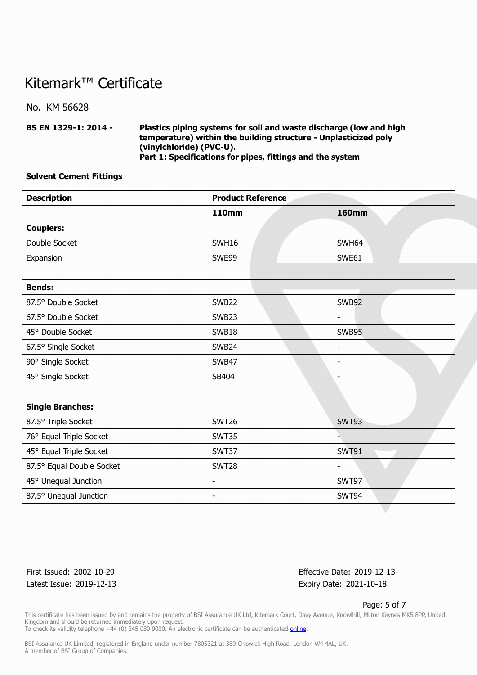No. KM 56628

**BS EN 1329-1: 2014 - Plastics piping systems for soil and waste discharge (low and high temperature) within the building structure - Unplasticized poly (vinylchloride) (PVC-U). Part 1: Specifications for pipes, fittings and the system**

### **Solvent Cement Fittings**

| <b>Description</b>        | <b>Product Reference</b> |                          |
|---------------------------|--------------------------|--------------------------|
|                           | <b>110mm</b>             | <b>160mm</b>             |
| <b>Couplers:</b>          |                          |                          |
| Double Socket             | SWH16                    | SWH64                    |
| Expansion                 | SWE99                    | SWE61                    |
|                           |                          |                          |
| <b>Bends:</b>             |                          |                          |
| 87.5° Double Socket       | SWB22                    | <b>SWB92</b>             |
| 67.5° Double Socket       | SWB <sub>23</sub>        | $\overline{\phantom{0}}$ |
| 45° Double Socket         | SWB18                    | <b>SWB95</b>             |
| 67.5° Single Socket       | SWB24                    |                          |
| 90° Single Socket         | SWB47                    | $\overline{a}$           |
| 45° Single Socket         | SB404                    |                          |
|                           |                          |                          |
| <b>Single Branches:</b>   |                          |                          |
| 87.5° Triple Socket       | <b>SWT26</b>             | <b>SWT93</b>             |
| 76° Equal Triple Socket   | <b>SWT35</b>             |                          |
| 45° Equal Triple Socket   | SWT37                    | <b>SWT91</b>             |
| 87.5° Equal Double Socket | <b>SWT28</b>             | $\overline{\phantom{a}}$ |
| 45° Unequal Junction      | $\overline{a}$           | <b>SWT97</b>             |
| 87.5° Unequal Junction    | $\blacksquare$           | <b>SWT94</b>             |

Latest Issue: 2019-12-13 Expiry Date: 2021-10-18

First Issued: 2002-10-29 Effective Date: 2019-12-13

Page: 5 of 7

This certificate has been issued by and remains the property of BSI Assurance UK Ltd, Kitemark Court, Davy Avenue, Knowlhill, Milton Keynes MK5 8PP, United Kingdom and should be returned immediately upon request.

To check its validity telephone +44 (0) 345 080 9000. An electronic certificate can be authenticated *[online](https://pgplus.bsigroup.com/CertificateValidation/CertificateValidator.aspx?CertificateNumber=KM+56628&ReIssueDate=13%2f12%2f2019&Template=uk)*.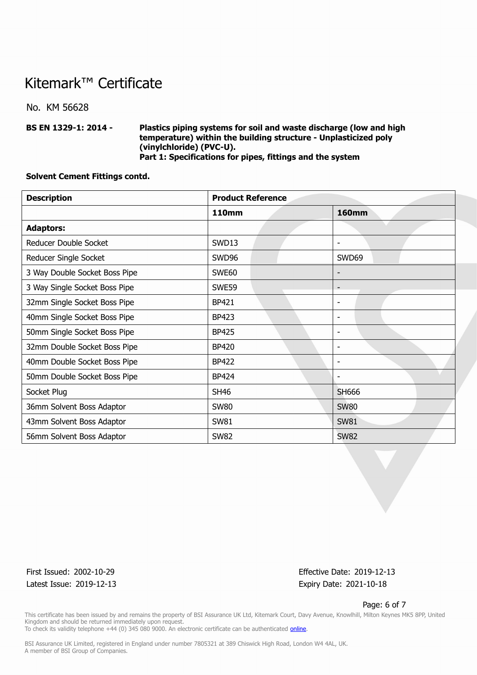No. KM 56628

**BS EN 1329-1: 2014 - Plastics piping systems for soil and waste discharge (low and high temperature) within the building structure - Unplasticized poly (vinylchloride) (PVC-U). Part 1: Specifications for pipes, fittings and the system**

#### **Solvent Cement Fittings contd.**

| <b>Description</b>            | <b>Product Reference</b> |                          |
|-------------------------------|--------------------------|--------------------------|
|                               | <b>110mm</b>             | <b>160mm</b>             |
| <b>Adaptors:</b>              |                          |                          |
| Reducer Double Socket         | SWD13                    | $\overline{\phantom{a}}$ |
| Reducer Single Socket         | <b>SWD96</b>             | <b>SWD69</b>             |
| 3 Way Double Socket Boss Pipe | <b>SWE60</b>             | -                        |
| 3 Way Single Socket Boss Pipe | <b>SWE59</b>             | $\overline{\phantom{a}}$ |
| 32mm Single Socket Boss Pipe  | BP421                    | -                        |
| 40mm Single Socket Boss Pipe  | <b>BP423</b>             | $\overline{\phantom{a}}$ |
| 50mm Single Socket Boss Pipe  | <b>BP425</b>             | $\overline{\phantom{a}}$ |
| 32mm Double Socket Boss Pipe  | <b>BP420</b>             | $\overline{\phantom{a}}$ |
| 40mm Double Socket Boss Pipe  | <b>BP422</b>             | $\overline{\phantom{a}}$ |
| 50mm Double Socket Boss Pipe  | BP424                    |                          |
| Socket Plug                   | <b>SH46</b>              | SH666                    |
| 36mm Solvent Boss Adaptor     | <b>SW80</b>              | <b>SW80</b>              |
| 43mm Solvent Boss Adaptor     | <b>SW81</b>              | <b>SW81</b>              |
| 56mm Solvent Boss Adaptor     | <b>SW82</b>              | <b>SW82</b>              |

Latest Issue: 2019-12-13 Expiry Date: 2021-10-18

First Issued: 2002-10-29 Effective Date: 2019-12-13

Page: 6 of 7

This certificate has been issued by and remains the property of BSI Assurance UK Ltd, Kitemark Court, Davy Avenue, Knowlhill, Milton Keynes MK5 8PP, United Kingdom and should be returned immediately upon request. To check its validity telephone +44 (0) 345 080 9000. An electronic certificate can be authenticated *[online](https://pgplus.bsigroup.com/CertificateValidation/CertificateValidator.aspx?CertificateNumber=KM+56628&ReIssueDate=13%2f12%2f2019&Template=uk)*.

BSI Assurance UK Limited, registered in England under number 7805321 at 389 Chiswick High Road, London W4 4AL, UK.

A member of BSI Group of Companies.